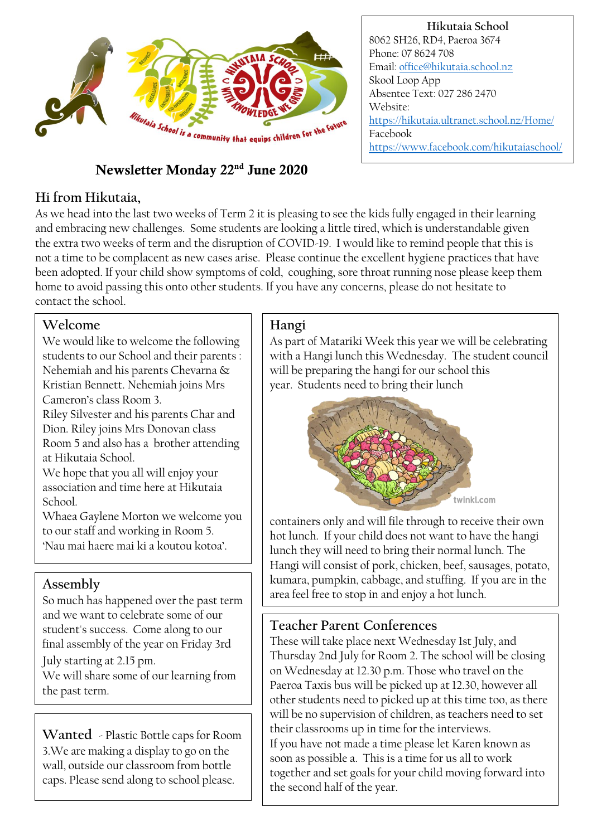

# Newsletter Monday 22nd June 2020

### **Hi from Hikutaia,**

As we head into the last two weeks of Term 2 it is pleasing to see the kids fully engaged in their learning and embracing new challenges. Some students are looking a little tired, which is understandable given the extra two weeks of term and the disruption of COVID-19. I would like to remind people that this is not a time to be complacent as new cases arise. Please continue the excellent hygiene practices that have been adopted. If your child show symptoms of cold, coughing, sore throat running nose please keep them home to avoid passing this onto other students. If you have any concerns, please do not hesitate to contact the school.

### **Welcome**

We would like to welcome the following students to our School and their parents : Nehemiah and his parents Chevarna & Kristian Bennett. Nehemiah joins Mrs Cameron's class Room 3.

Riley Silvester and his parents Char and Dion. Riley joins Mrs Donovan class Room 5 and also has a brother attending at Hikutaia School.

We hope that you all will enjoy your association and time here at Hikutaia School.

Whaea Gaylene Morton we welcome you to our staff and working in Room 5. 'Nau mai haere mai ki a koutou kotoa'.

### **Assembly**

So much has happened over the past term and we want to celebrate some of our student's success. Come along to our final assembly of the year on Friday 3rd July starting at 2.15 pm. We will share some of our learning from the past term.

**Wanted** - Plastic Bottle caps for Room 3.We are making a display to go on the wall, outside our classroom from bottle caps. Please send along to school please.

#### **Hangi**

As part of Matariki Week this year we will be celebrating with a Hangi lunch this Wednesday. The student council will be preparing the hangi for our school this year. Students need to bring their lunch



containers only and will file through to receive their own hot lunch. If your child does not want to have the hangi lunch they will need to bring their normal lunch. The Hangi will consist of pork, chicken, beef, sausages, potato, kumara, pumpkin, cabbage, and stuffing. If you are in the area feel free to stop in and enjoy a hot lunch.

### **Teacher Parent Conferences**

These will take place next Wednesday 1st July, and Thursday 2nd July for Room 2. The school will be closing on Wednesday at 12.30 p.m. Those who travel on the Paeroa Taxis bus will be picked up at 12.30, however all other students need to picked up at this time too, as there will be no supervision of children, as teachers need to set their classrooms up in time for the interviews. If you have not made a time please let Karen known as soon as possible a. This is a time for us all to work together and set goals for your child moving forward into the second half of the year.

#### **Hikutaia School** 8062 SH26, RD4, Paeroa 3674 Phone: 07 8624 708 Email[: office@hikutaia.school.nz](mailto:office@hikutaia.school.nz) Skool Loop App Absentee Text: 027 286 2470 Website: <https://hikutaia.ultranet.school.nz/Home/> Facebook <https://www.facebook.com/hikutaiaschool/>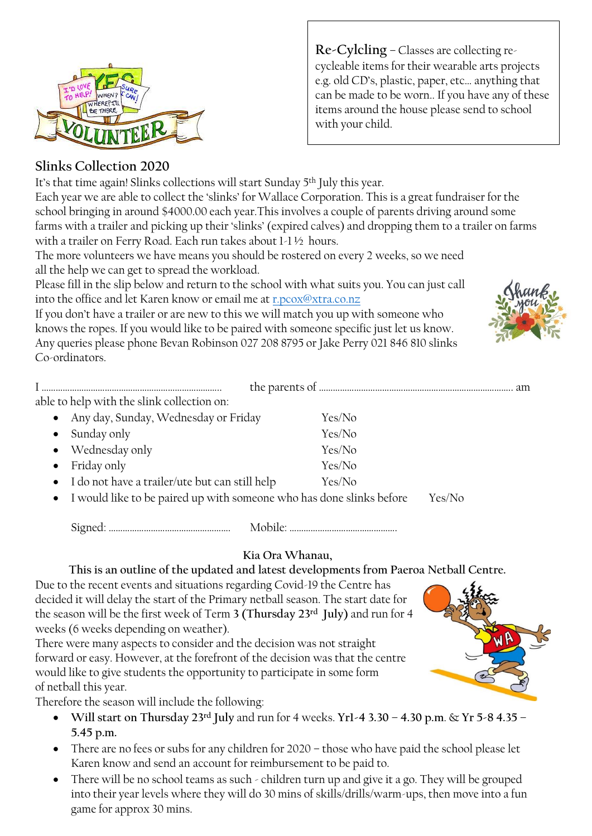

**Re-Cylcling** – Classes are collecting recycleable items for their wearable arts projects e.g. old CD's, plastic, paper, etc… anything that can be made to be worn.. If you have any of these items around the house please send to school with your child.

### **Slinks Collection 2020**

It's that time again! Slinks collections will start Sunday 5<sup>th</sup> July this year.

Each year we are able to collect the 'slinks' for Wallace Corporation. This is a great fundraiser for the school bringing in around \$4000.00 each year.This involves a couple of parents driving around some farms with a trailer and picking up their 'slinks' (expired calves) and dropping them to a trailer on farms with a trailer on Ferry Road. Each run takes about 1-1 ½ hours.

The more volunteers we have means you should be rostered on every 2 weeks, so we need all the help we can get to spread the workload.

Please fill in the slip below and return to the school with what suits you. You can just call into the office and let Karen know or email me at [r.pcox@xtra.co.nz](mailto:r.pcox@xtra.co.nz)

If you don't have a trailer or are new to this we will match you up with someone who knows the ropes. If you would like to be paired with someone specific just let us know. Any queries please phone Bevan Robinson 027 208 8795 or Jake Perry 021 846 810 slinks Co-ordinators.

| able to help with the slink collection on:                             |        |  |
|------------------------------------------------------------------------|--------|--|
| Any day, Sunday, Wednesday or Friday                                   | Yes/No |  |
| Sunday only<br>$\bullet$                                               | Yes/No |  |
| • Wednesday only                                                       | Yes/No |  |
| Friday only<br>$\bullet$                                               | Yes/No |  |
| • I do not have a trailer/ute but can still help                       | Yes/No |  |
| • I would like to be paired up with someone who has done slinks before |        |  |

Signed: ……………………………………………. Mobile: ……………………………………….

# **Kia Ora Whanau,**

**This is an outline of the updated and latest developments from Paeroa Netball Centre.**

Due to the recent events and situations regarding Covid-19 the Centre has decided it will delay the start of the Primary netball season. The start date for the season will be the first week of Term **3 (Thursday 23rd July)** and run for 4 weeks (6 weeks depending on weather).

There were many aspects to consider and the decision was not straight forward or easy. However, at the forefront of the decision was that the centre would like to give students the opportunity to participate in some form of netball this year.

Therefore the season will include the following:

- **Will start on Thursday 23rd July** and run for 4 weeks. **Yr1-4 3.30 – 4.30 p.m**. & **Yr 5-8 4.35 – 5.45 p.m.**
- There are no fees or subs for any children for 2020 those who have paid the school please let Karen know and send an account for reimbursement to be paid to.
- There will be no school teams as such children turn up and give it a go. They will be grouped into their year levels where they will do 30 mins of skills/drills/warm-ups, then move into a fun game for approx 30 mins.



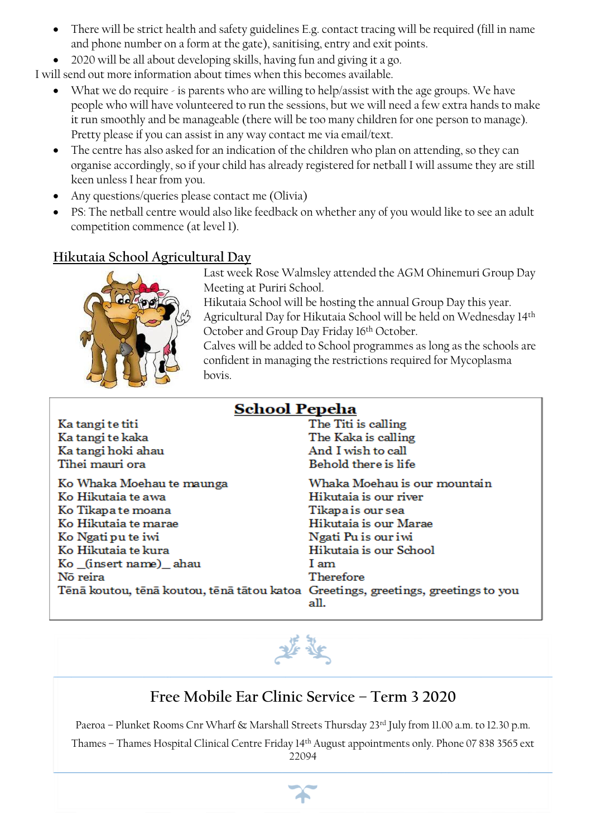- There will be strict health and safety guidelines E.g. contact tracing will be required (fill in name and phone number on a form at the gate), sanitising, entry and exit points.
- 2020 will be all about developing skills, having fun and giving it a go.

I will send out more information about times when this becomes available.

- What we do require is parents who are willing to help/assist with the age groups. We have people who will have volunteered to run the sessions, but we will need a few extra hands to make it run smoothly and be manageable (there will be too many children for one person to manage). Pretty please if you can assist in any way contact me via email/text.
- The centre has also asked for an indication of the children who plan on attending, so they can organise accordingly, so if your child has already registered for netball I will assume they are still keen unless I hear from you.
- Any questions/queries please contact me (Olivia)
- PS: The netball centre would also like feedback on whether any of you would like to see an adult competition commence (at level 1).

### **Hikutaia School Agricultural Day**



Last week Rose Walmsley attended the AGM Ohinemuri Group Day Meeting at Puriri School.

Hikutaia School will be hosting the annual Group Day this year.

Agricultural Day for Hikutaia School will be held on Wednesday 14th October and Group Day Friday 16th October.

Calves will be added to School programmes as long as the schools are confident in managing the restrictions required for Mycoplasma bovis.

| <b>School Pepeha</b>                                                              |                              |  |
|-----------------------------------------------------------------------------------|------------------------------|--|
| Ka tangi te titi                                                                  | The Titi is calling          |  |
| Ka tangi te kaka                                                                  | The Kaka is calling          |  |
| Ka tangi hoki ahau                                                                | And I wish to call           |  |
| Tihei mauri ora                                                                   | Behold there is life         |  |
| Ko Whaka Moehau te maunga                                                         | Whaka Moehau is our mountain |  |
| Ko Hikutaia te awa                                                                | Hikutaia is our river        |  |
| Ko Tikapa te moana                                                                | Tikapa is our sea            |  |
| Ko Hikutaia te marae                                                              | Hikutaia is our Marae        |  |
| Ko Ngati pu te iwi                                                                | Ngati Pu is our iwi          |  |
| Ko Hikutaia te kura                                                               | Hikutaia is our School       |  |
| Ko (insert name) ahau                                                             | I am                         |  |
| Nõ reira                                                                          | Therefore                    |  |
| Tēnā koutou, tēnā koutou, tēnā tātou katoa Greetings, greetings, greetings to you | all.                         |  |



# **Free Mobile Ear Clinic Service – Term 3 2020**

Paeroa – Plunket Rooms Cnr Wharf & Marshall Streets Thursday 23rd July from 11.00 a.m. to 12.30 p.m.

Thames – Thames Hospital Clinical Centre Friday 14th August appointments only. Phone 07 838 3565 ext 22094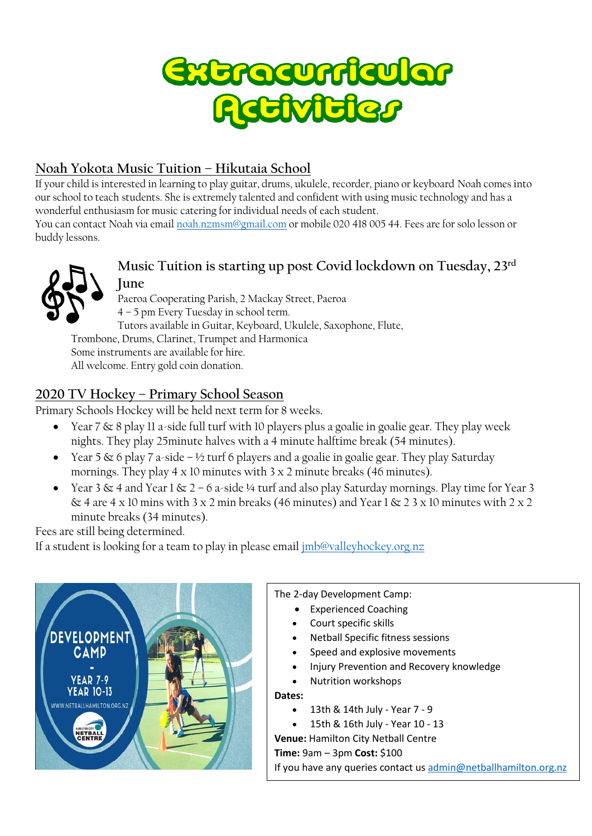

## **Noah Yokota Music Tuition – Hikutaia School**

If your child is interested in learning to play guitar, drums, ukulele, recorder, piano or keyboard Noah comes into our school to teach students. She is extremely talented and confident with using music technology and has a wonderful enthusiasm for music catering for individual needs of each student.

You can contact Noah via emai[l noah.nzmsm@gmail.com](mailto:noah.nzmsm@gmail.com) or mobile 020 418 005 44. Fees are for solo lesson or buddy lessons.



### **Music Tuition is starting up post Covid lockdown on Tuesday, 23rd June**

Paeroa Cooperating Parish, 2 Mackay Street, Paeroa 4 – 5 pm Every Tuesday in school term. Tutors available in Guitar, Keyboard, Ukulele, Saxophone, Flute, Trombone, Drums, Clarinet, Trumpet and Harmonica Some instruments are available for hire. All welcome. Entry gold coin donation.

### **2020 TV Hockey – Primary School Season**

Primary Schools Hockey will be held next term for 8 weeks.

- Year 7  $\&$  8 play 11 a-side full turf with 10 players plus a goalie in goalie gear. They play week nights. They play 25minute halves with a 4 minute halftime break (54 minutes).
- Year 5  $\&$  6 play 7 a-side ½ turf 6 players and a goalie in goalie gear. They play Saturday mornings. They play  $4 \times 10$  minutes with  $3 \times 2$  minute breaks (46 minutes).
- Year 3  $\&$  4 and Year 1  $\&$  2 6 a-side ¼ turf and also play Saturday mornings. Play time for Year 3  $\&$  4 are 4 x 10 mins with 3 x 2 min breaks (46 minutes) and Year 1  $\&$  2 3 x 10 minutes with 2 x 2 minute breaks (34 minutes).

Fees are still being determined.

If a student is looking for a team to play in please email [jmb@valleyhockey.org.nz](mailto:jmb@valleyhockey.org.nz)



The 2-day Development Camp:

- Experienced Coaching
- Court specific skills
- Netball Specific fitness sessions
- Speed and explosive movements
- Injury Prevention and Recovery knowledge
- Nutrition workshops
- **Dates:**
	- $\bullet$  13th & 14th July Year  $7 9$
	- 15th & 16th July Year 10 13

**Venue:** Hamilton City Netball Centre

**Time:** 9am – 3pm **Cost:** \$100

If you have any queries contact us [admin@netballhamilton.org.nz](http://admin@netballhamilton.org.nz/)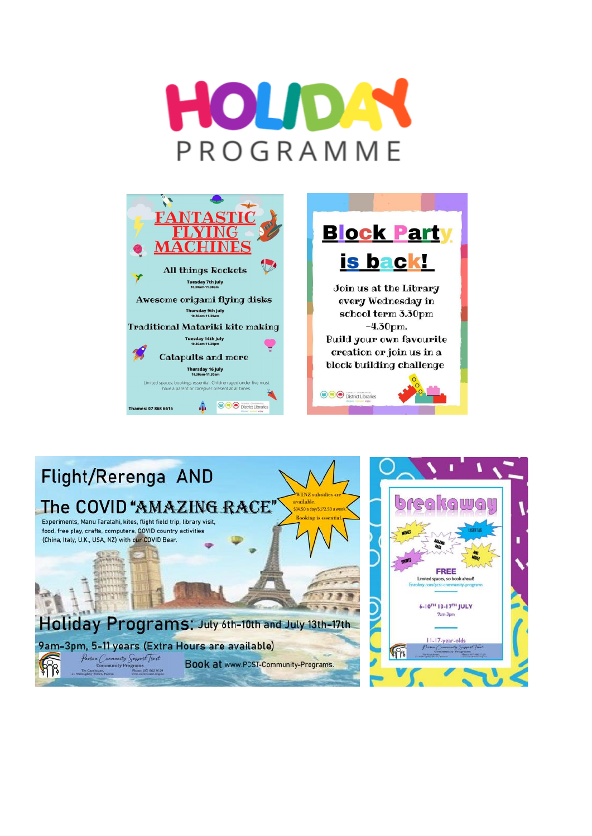